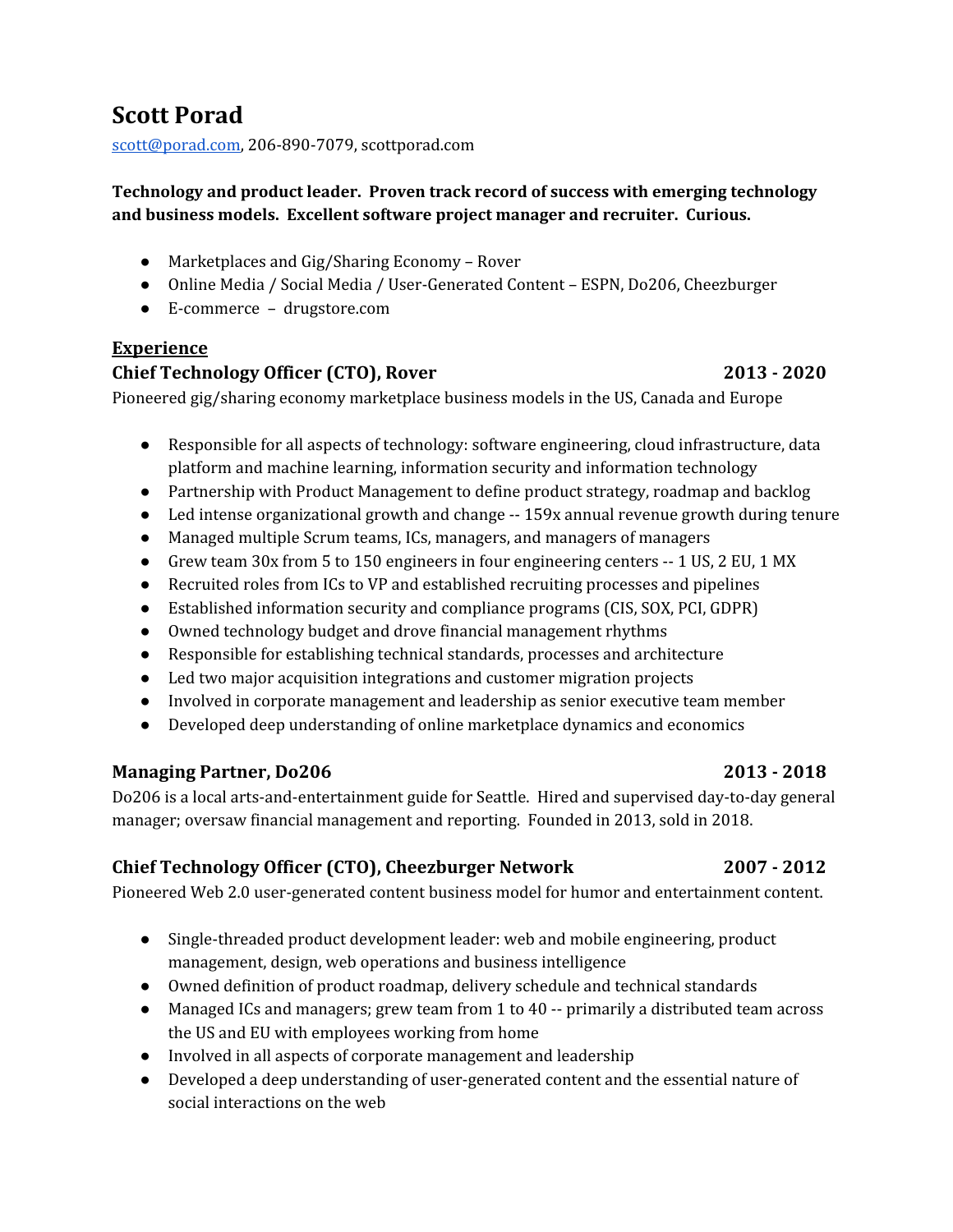# **Scott Porad**

[scott@porad.com](mailto:scott@porad.com), 206-890-7079, scottporad.com

# **Technology and product leader. Proven track record of success with emerging technology and business models. Excellent software project manager and recruiter. Curious.**

- **●** Marketplaces and Gig/Sharing Economy Rover
- Online Media / Social Media / User-Generated Content ESPN, Do206, Cheezburger
- E-commerce drugstore.com

## **Experience**

# **Chief Technology Officer (CTO), Rover 2013 - 2020**

Pioneered gig/sharing economy marketplace business models in the US, Canada and Europe

- Responsible for all aspects of technology: software engineering, cloud infrastructure, data platform and machine learning, information security and information technology
- Partnership with Product Management to define product strategy, roadmap and backlog
- Led intense organizational growth and change -- 159x annual revenue growth during tenure
- Managed multiple Scrum teams, ICs, managers, and managers of managers
- Grew team 30x from 5 to 150 engineers in four engineering centers -- 1 US, 2 EU, 1 MX
- Recruited roles from ICs to VP and established recruiting processes and pipelines
- Established information security and compliance programs (CIS, SOX, PCI, GDPR)
- Owned technology budget and drove financial management rhythms
- Responsible for establishing technical standards, processes and architecture
- Led two major acquisition integrations and customer migration projects
- Involved in corporate management and leadership as senior executive team member
- Developed deep understanding of online marketplace dynamics and economics

# **Managing Partner, Do206 2013 - 2018**

Do206 is a local arts-and-entertainment guide for Seattle. Hired and supervised day-to-day general manager; oversaw financial management and reporting. Founded in 2013, sold in 2018.

# **Chief Technology Officer (CTO), Cheezburger Network 2007 - 2012**

Pioneered Web 2.0 user-generated content business model for humor and entertainment content.

- Single-threaded product development leader: web and mobile engineering, product management, design, web operations and business intelligence
- Owned definition of product roadmap, delivery schedule and technical standards
- Managed ICs and managers; grew team from 1 to 40 -- primarily a distributed team across the US and EU with employees working from home
- Involved in all aspects of corporate management and leadership
- Developed a deep understanding of user-generated content and the essential nature of social interactions on the web